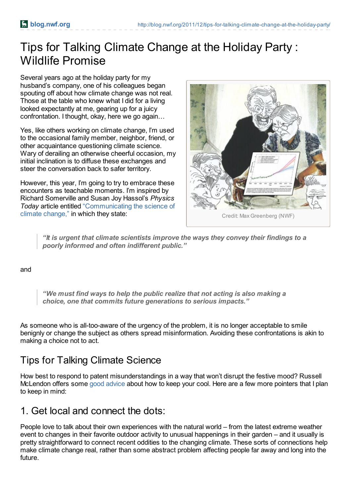# Tips for Talking Climate Change at the Holiday Party : Wildlife Promise

Several years ago at the holiday party for my husband's company, one of his colleagues began spouting off about how climate change was not real. Those at the table who knew what I did for a living looked expectantly at me, gearing up for a juicy confrontation. I thought, okay, here we go again…

Yes, like others working on climate change, I'm used to the occasional family member, neighbor, friend, or other acquaintance questioning climate science. Wary of derailing an otherwise cheerful occasion, my initial inclination is to diffuse these exchanges and steer the conversation back to safer territory.

However, this year, I'm going to try to embrace these encounters as teachable moments. I'm inspired by Richard Somerville and Susan Joy Hassol's *Physics Today* article entitled ["Communicating](http://dx.doi.org/10.1063/PT.3.1296) the science of climate change," in which they state:



*"It is urgent that climate scientists improve the ways they convey their findings to a poorly informed and often indifferent public."*

#### and

*"We must find ways to help the public realize that not acting is also making a choice, one that commits future generations to serious impacts."*

As someone who is all-too-aware of the urgency of the problem, it is no longer acceptable to smile benignly or change the subject as others spread misinformation. Avoiding these confrontations is akin to making a choice not to act.

#### Tips for Talking Climate Science

How best to respond to patent misunderstandings in a way that won't disrupt the festive mood? Russell McLendon offers some good [advice](http://www.mnn.com/family/family-activities/blogs/how-to-discuss-climate-change-with-your-uncle-during-the-holidays) about how to keep your cool. Here are a few more pointers that I plan to keep in mind:

#### 1. Get local and connect the dots:

People love to talk about their own experiences with the natural world – from the latest extreme weather event to changes in their favorite outdoor activity to unusual happenings in their garden – and it usually is pretty straightforward to connect recent oddities to the changing climate. These sorts of connections help make climate change real, rather than some abstract problem affecting people far away and long into the future.